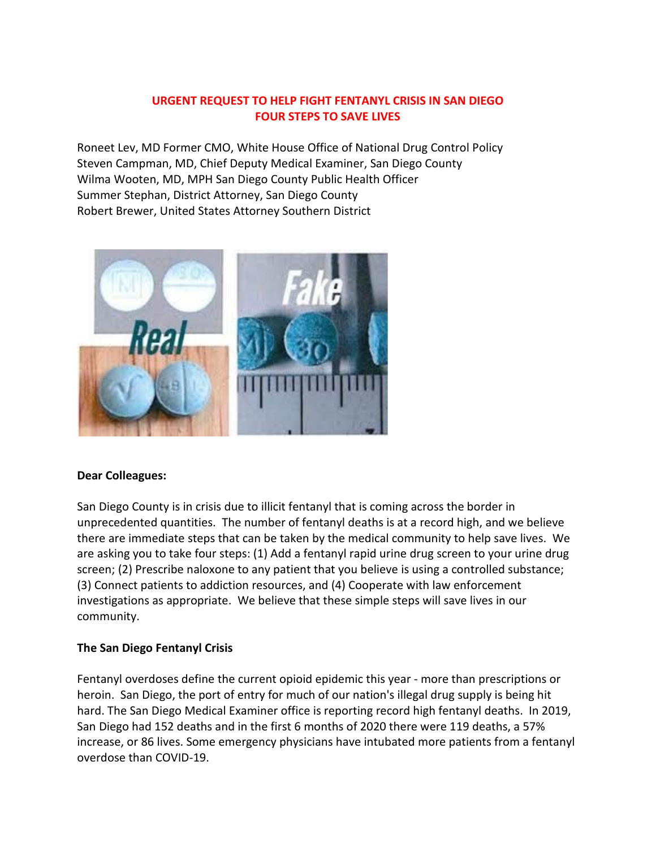## **URGENT REQUEST TO HELP FIGHT FENTANYL CRISIS IN SAN DIEGO FOUR STEPS TO SAVE LIVES**

Roneet Lev, MD Former CMO, White House Office of National Drug Control Policy Steven Campman, MD, Chief Deputy Medical Examiner, San Diego County Wilma Wooten, MD, MPH San Diego County Public Health Officer Summer Stephan, District Attorney, San Diego County Robert Brewer, United States Attorney Southern District



#### **Dear Colleagues:**

San Diego County is in crisis due to illicit fentanyl that is coming across the border in unprecedented quantities. The number of fentanyl deaths is at a record high, and we believe there are immediate steps that can be taken by the medical community to help save lives. We are asking you to take four steps: (1) Add a fentanyl rapid urine drug screen to your urine drug screen; (2) Prescribe naloxone to any patient that you believe is using a controlled substance; (3) Connect patients to addiction resources, and (4) Cooperate with law enforcement investigations as appropriate. We believe that these simple steps will save lives in our community.

#### **The San Diego Fentanyl Crisis**

Fentanyl overdoses define the current opioid epidemic this year - more than prescriptions or heroin. San Diego, the port of entry for much of our nation's illegal drug supply is being hit hard. The San Diego Medical Examiner office is reporting record high fentanyl deaths. In 2019, San Diego had 152 deaths and in the first 6 months of 2020 there were 119 deaths, a 57% increase, or 86 lives. Some emergency physicians have intubated more patients from a fentanyl overdose than COVID-19.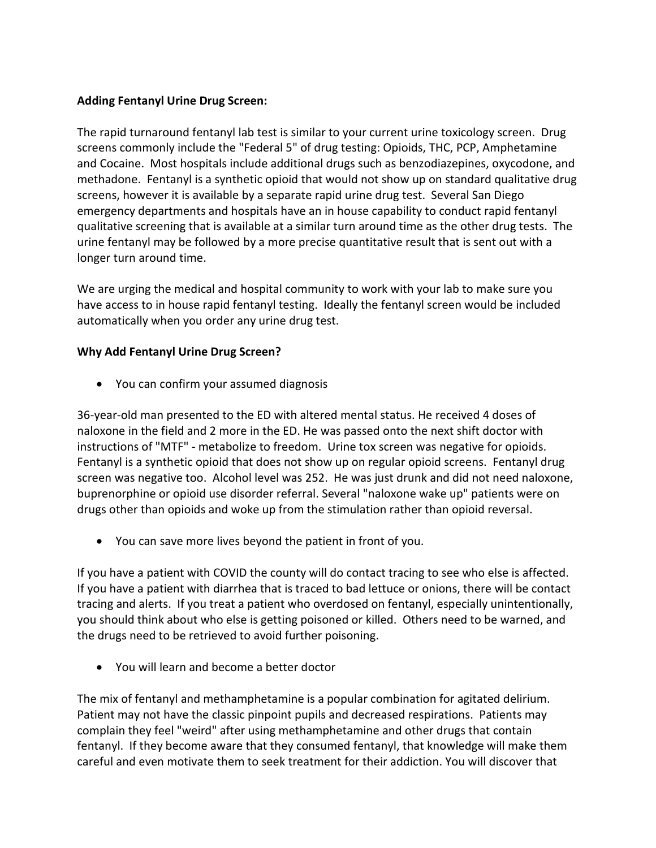### **Adding Fentanyl Urine Drug Screen:**

The rapid turnaround fentanyl lab test is similar to your current urine toxicology screen. Drug screens commonly include the "Federal 5" of drug testing: Opioids, THC, PCP, Amphetamine and Cocaine. Most hospitals include additional drugs such as benzodiazepines, oxycodone, and methadone. Fentanyl is a synthetic opioid that would not show up on standard qualitative drug screens, however it is available by a separate rapid urine drug test. Several San Diego emergency departments and hospitals have an in house capability to conduct rapid fentanyl qualitative screening that is available at a similar turn around time as the other drug tests. The urine fentanyl may be followed by a more precise quantitative result that is sent out with a longer turn around time.

We are urging the medical and hospital community to work with your lab to make sure you have access to in house rapid fentanyl testing. Ideally the fentanyl screen would be included automatically when you order any urine drug test.

#### **Why Add Fentanyl Urine Drug Screen?**

• You can confirm your assumed diagnosis

36-year-old man presented to the ED with altered mental status. He received 4 doses of naloxone in the field and 2 more in the ED. He was passed onto the next shift doctor with instructions of "MTF" - metabolize to freedom. Urine tox screen was negative for opioids. Fentanyl is a synthetic opioid that does not show up on regular opioid screens. Fentanyl drug screen was negative too. Alcohol level was 252. He was just drunk and did not need naloxone, buprenorphine or opioid use disorder referral. Several "naloxone wake up" patients were on drugs other than opioids and woke up from the stimulation rather than opioid reversal.

• You can save more lives beyond the patient in front of you.

If you have a patient with COVID the county will do contact tracing to see who else is affected. If you have a patient with diarrhea that is traced to bad lettuce or onions, there will be contact tracing and alerts. If you treat a patient who overdosed on fentanyl, especially unintentionally, you should think about who else is getting poisoned or killed. Others need to be warned, and the drugs need to be retrieved to avoid further poisoning.

• You will learn and become a better doctor

The mix of fentanyl and methamphetamine is a popular combination for agitated delirium. Patient may not have the classic pinpoint pupils and decreased respirations. Patients may complain they feel "weird" after using methamphetamine and other drugs that contain fentanyl. If they become aware that they consumed fentanyl, that knowledge will make them careful and even motivate them to seek treatment for their addiction. You will discover that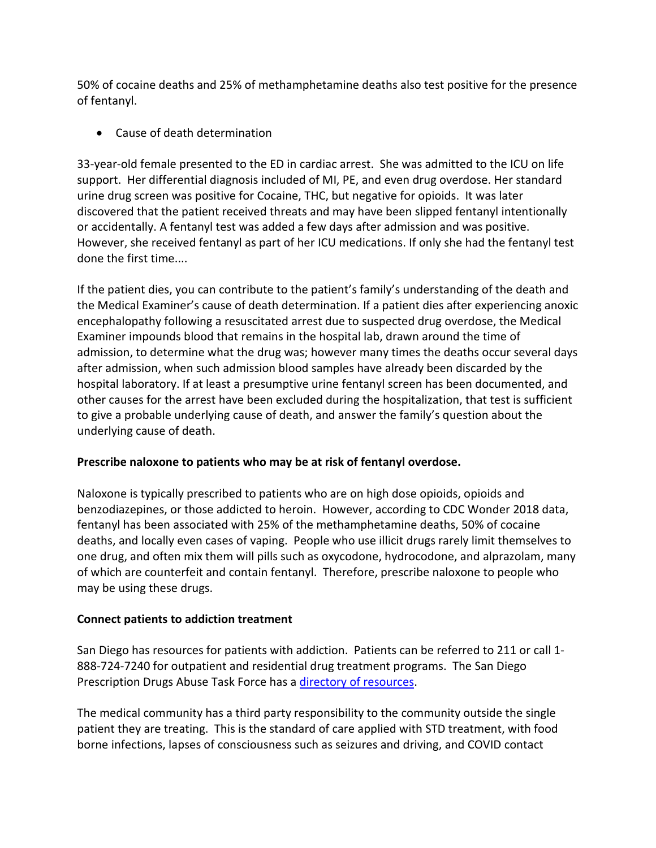50% of cocaine deaths and 25% of methamphetamine deaths also test positive for the presence of fentanyl.

• Cause of death determination

33-year-old female presented to the ED in cardiac arrest. She was admitted to the ICU on life support. Her differential diagnosis included of MI, PE, and even drug overdose. Her standard urine drug screen was positive for Cocaine, THC, but negative for opioids. It was later discovered that the patient received threats and may have been slipped fentanyl intentionally or accidentally. A fentanyl test was added a few days after admission and was positive. However, she received fentanyl as part of her ICU medications. If only she had the fentanyl test done the first time....

If the patient dies, you can contribute to the patient's family's understanding of the death and the Medical Examiner's cause of death determination. If a patient dies after experiencing anoxic encephalopathy following a resuscitated arrest due to suspected drug overdose, the Medical Examiner impounds blood that remains in the hospital lab, drawn around the time of admission, to determine what the drug was; however many times the deaths occur several days after admission, when such admission blood samples have already been discarded by the hospital laboratory. If at least a presumptive urine fentanyl screen has been documented, and other causes for the arrest have been excluded during the hospitalization, that test is sufficient to give a probable underlying cause of death, and answer the family's question about the underlying cause of death.

# **Prescribe naloxone to patients who may be at risk of fentanyl overdose.**

Naloxone is typically prescribed to patients who are on high dose opioids, opioids and benzodiazepines, or those addicted to heroin. However, according to CDC Wonder 2018 data, fentanyl has been associated with 25% of the methamphetamine deaths, 50% of cocaine deaths, and locally even cases of vaping. People who use illicit drugs rarely limit themselves to one drug, and often mix them will pills such as oxycodone, hydrocodone, and alprazolam, many of which are counterfeit and contain fentanyl. Therefore, prescribe naloxone to people who may be using these drugs.

# **Connect patients to addiction treatment**

San Diego has resources for patients with addiction. Patients can be referred to 211 or call 1- 888-724-7240 for outpatient and residential drug treatment programs. The San Diego Prescription Drugs Abuse Task Force has a [directory of resources.](https://www.sandiegorxabusetaskforce.org/treatment)

The medical community has a third party responsibility to the community outside the single patient they are treating. This is the standard of care applied with STD treatment, with food borne infections, lapses of consciousness such as seizures and driving, and COVID contact